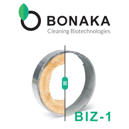

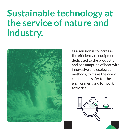### **Sustainable technology at the service of nature and industry.**



Our mission is to increase the efficiency of equipment dedicated to the production and consumption of heat with innovative and ecological methods, to make the world cleaner and safer for the environment and for work activities.

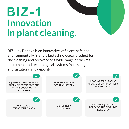## **BIZ-1 Innovation in plant cleaning.**

BIZ-1 by Bonaka is an innovative, efficient, safe and environmentally friendly biotechnological product for the cleaning and recovery of a wide range of thermal equipment and technological systems from sludge, encrustations and deposits:

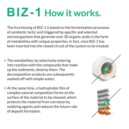# **BIZ-1 How it works.**

The functioning of BIZ-1 is based on the fermentation processes of symbiotic lactic acid triggered by specific and selected microorganisms that generate over 30 organic acids in the form of metabolites with unique properties. In fact, once BIZ-1 has been inserted into the closed circuit of the system to be treated:

- The metabolites, by selectively entering into reaction with the compounds that make up the sediments, destroy them. The decomposition products are subsequently washed off with simple water;
- At the same time, a hydrophobic film of complex natural composition forms on the surface of the material to be cleaned, which protects the material from corrosion by oxidizing agents and reduces the future rate of deposit formation.



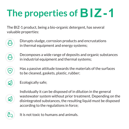## **The properties of**

The BIZ-1 product, being a bio-organic detergent, has several valuable properties:

- Disrupts sludge, corrosion products and encrustations in thermal equipment and energy systems;
- Decomposes a wide range of deposits and organic substances in industrial equipment and thermal systems;
	- Has a passive attitude towards the materials of the surfaces to be cleaned, gaskets, plastic, rubber;
- 

 $\left( +\right)$ 

Ecologically safe;

Individually it can be disposed of in dilution in the general wastewater system without prior treatment. Depending on the disintegrated substances, the resulting liquid must be disposed according to the regulations in force;

It is not toxic to humans and animals.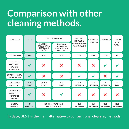#### **Comparison with other cleaning methods.**



To date, BIZ-1 is the main alternative to conventional cleaning methods.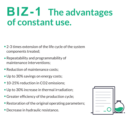### **BIZ-1** The advantages **of constant use.**

- 2-3 times extension of the life cycle of the system components treated;
- Repeatability and programmability of maintenance interventions;
- Reduction of maintenance costs;
- Up to 30% savings on energy costs; •
- 10-25% reduction in CO2 emissions;
- Up to 30% increase in thermal irradiation; •
- Greater efficiency of the production cycle; •
- Restoration of the original operating parameters;
- Decrease in hydraulic resistance. •